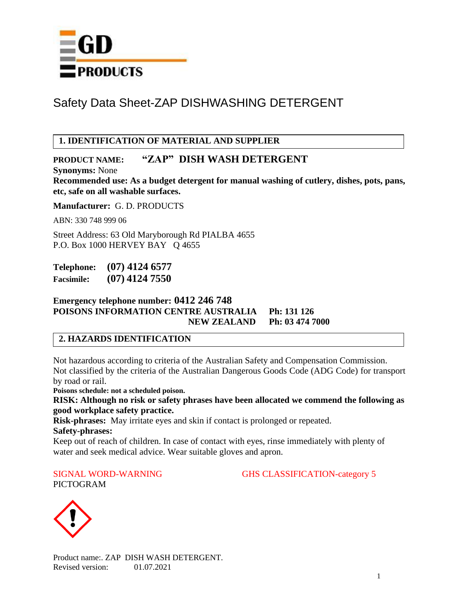

# **1. IDENTIFICATION OF MATERIAL AND SUPPLIER**

# **PRODUCT NAME: "ZAP" DISH WASH DETERGENT**

**Synonyms:** None

**Recommended use: As a budget detergent for manual washing of cutlery, dishes, pots, pans, etc, safe on all washable surfaces.** 

**Manufacturer:** G. D. PRODUCTS

ABN: 330 748 999 06

Street Address: 63 Old Maryborough Rd PIALBA 4655 P.O. Box 1000 HERVEY BAY Q 4655

**Telephone: (07) 4124 6577 Facsimile: (07) 4124 7550**

**Emergency telephone number: 0412 246 748 POISONS INFORMATION CENTRE AUSTRALIA Ph: 131 126 NEW ZEALAND Ph: 03 474 7000**

## **2. HAZARDS IDENTIFICATION**

Not hazardous according to criteria of the Australian Safety and Compensation Commission. Not classified by the criteria of the Australian Dangerous Goods Code (ADG Code) for transport by road or rail.

**Poisons schedule: not a scheduled poison.**

**RISK: Although no risk or safety phrases have been allocated we commend the following as good workplace safety practice.**

**Risk-phrases:** May irritate eyes and skin if contact is prolonged or repeated.

**Safety-phrases:** 

Keep out of reach of children. In case of contact with eyes, rinse immediately with plenty of water and seek medical advice. Wear suitable gloves and apron.

PICTOGRAM

SIGNAL WORD-WARNING GHS CLASSIFICATION-category 5



Product name:. ZAP DISH WASH DETERGENT. Revised version: 01.07.2021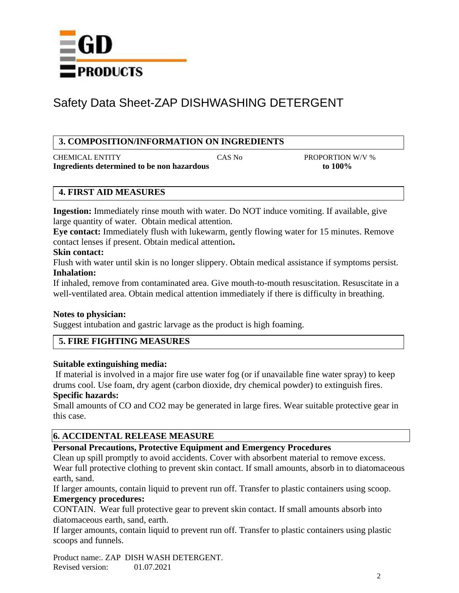

## **3. COMPOSITION/INFORMATION ON INGREDIENTS**

CHEMICAL ENTITY CAS No PROPORTION W/V % **Ingredients determined to be non hazardous to 100%**

## **4. FIRST AID MEASURES**

**Ingestion:** Immediately rinse mouth with water. Do NOT induce vomiting. If available, give large quantity of water. Obtain medical attention.

**Eye contact:** Immediately flush with lukewarm, gently flowing water for 15 minutes. Remove contact lenses if present. Obtain medical attention**.**

#### **Skin contact:**

Flush with water until skin is no longer slippery. Obtain medical assistance if symptoms persist. **Inhalation:**

If inhaled, remove from contaminated area. Give mouth-to-mouth resuscitation. Resuscitate in a well-ventilated area. Obtain medical attention immediately if there is difficulty in breathing.

## **Notes to physician:**

Suggest intubation and gastric larvage as the product is high foaming.

## **5. FIRE FIGHTING MEASURES**

#### **Suitable extinguishing media:**

If material is involved in a major fire use water fog (or if unavailable fine water spray) to keep drums cool. Use foam, dry agent (carbon dioxide, dry chemical powder) to extinguish fires. **Specific hazards:**

Small amounts of CO and CO2 may be generated in large fires. Wear suitable protective gear in this case.

## **6. ACCIDENTAL RELEASE MEASURE**

## **Personal Precautions, Protective Equipment and Emergency Procedures**

Clean up spill promptly to avoid accidents. Cover with absorbent material to remove excess.

Wear full protective clothing to prevent skin contact. If small amounts, absorb in to diatomaceous earth, sand.

If larger amounts, contain liquid to prevent run off. Transfer to plastic containers using scoop. **Emergency procedures:**

CONTAIN. Wear full protective gear to prevent skin contact. If small amounts absorb into diatomaceous earth, sand, earth.

If larger amounts, contain liquid to prevent run off. Transfer to plastic containers using plastic scoops and funnels.

Product name:. ZAP DISH WASH DETERGENT. Revised version: 01.07.2021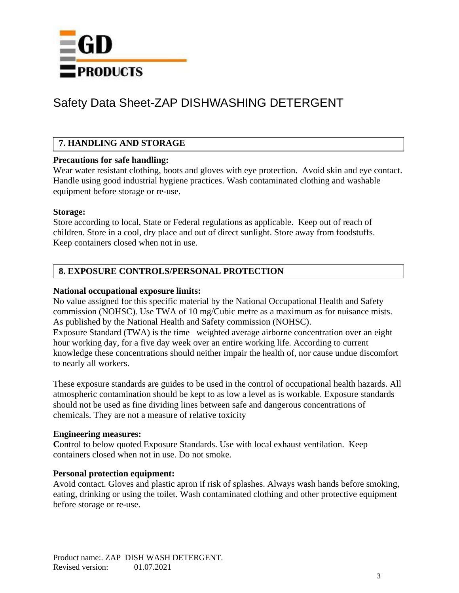

# **7. HANDLING AND STORAGE**

#### **Precautions for safe handling:**

Wear water resistant clothing, boots and gloves with eye protection. Avoid skin and eye contact. Handle using good industrial hygiene practices. Wash contaminated clothing and washable equipment before storage or re-use.

#### **Storage:**

Store according to local, State or Federal regulations as applicable. Keep out of reach of children. Store in a cool, dry place and out of direct sunlight. Store away from foodstuffs. Keep containers closed when not in use.

## **8. EXPOSURE CONTROLS/PERSONAL PROTECTION**

#### **National occupational exposure limits:**

No value assigned for this specific material by the National Occupational Health and Safety commission (NOHSC). Use TWA of 10 mg/Cubic metre as a maximum as for nuisance mists. As published by the National Health and Safety commission (NOHSC). Exposure Standard (TWA) is the time –weighted average airborne concentration over an eight hour working day, for a five day week over an entire working life. According to current knowledge these concentrations should neither impair the health of, nor cause undue discomfort to nearly all workers.

These exposure standards are guides to be used in the control of occupational health hazards. All atmospheric contamination should be kept to as low a level as is workable. Exposure standards should not be used as fine dividing lines between safe and dangerous concentrations of chemicals. They are not a measure of relative toxicity

#### **Engineering measures:**

Control to below quoted Exposure Standards. Use with local exhaust ventilation. Keep containers closed when not in use. Do not smoke.

#### **Personal protection equipment:**

Avoid contact. Gloves and plastic apron if risk of splashes. Always wash hands before smoking, eating, drinking or using the toilet. Wash contaminated clothing and other protective equipment before storage or re-use.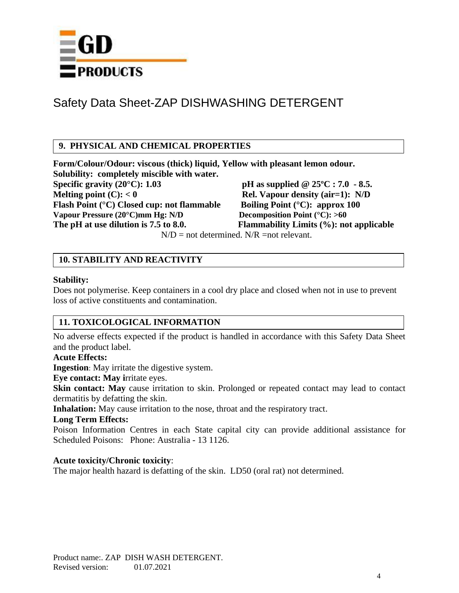

## **9. PHYSICAL AND CHEMICAL PROPERTIES**

**Form/Colour/Odour: viscous (thick) liquid, Yellow with pleasant lemon odour. Solubility: completely miscible with water. Specific gravity (20°C): 1.03 pH as supplied @ 25ºC : 7.0 - 8.5. Melting point (C):**  $< 0$  **Rel. Vapour density (air=1): N/D Flash Point (°C) Closed cup: not flammable Boiling Point (°C): approx 100**<br>Vapour Pressure (20°C)mm Hg: N/D Decomposition Point (°C): >60 **Vapour Pressure (20°C)mm Hg: N/D The pH at use dilution is 7.5 to 8.0. Flammability Limits (%): not applicable**

 $N/D$  = not determined.  $N/R$  = not relevant.

# **10. STABILITY AND REACTIVITY**

#### **Stability:**

Does not polymerise. Keep containers in a cool dry place and closed when not in use to prevent loss of active constituents and contamination.

## **11. TOXICOLOGICAL INFORMATION**

No adverse effects expected if the product is handled in accordance with this Safety Data Sheet and the product label.

#### **Acute Effects:**

**Ingestion**: May irritate the digestive system.

**Eye contact: May i**rritate eyes.

**Skin contact:** May cause irritation to skin. Prolonged or repeated contact may lead to contact dermatitis by defatting the skin.

**Inhalation:** May cause irritation to the nose, throat and the respiratory tract.

#### **Long Term Effects:**

Poison Information Centres in each State capital city can provide additional assistance for Scheduled Poisons: Phone: Australia - 13 1126.

#### **Acute toxicity/Chronic toxicity**:

The major health hazard is defatting of the skin. LD50 (oral rat) not determined.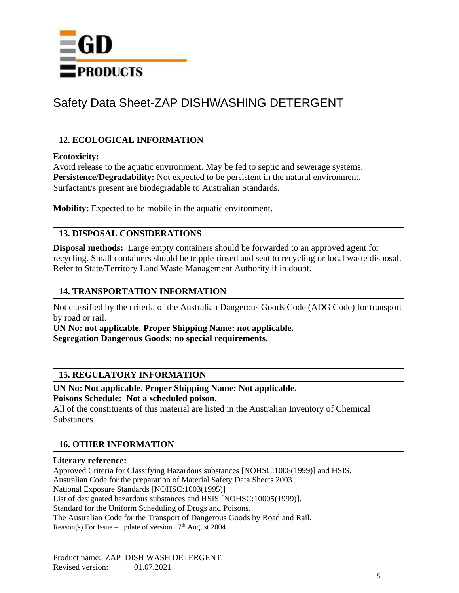

# **12. ECOLOGICAL INFORMATION**

#### **Ecotoxicity:**

Avoid release to the aquatic environment. May be fed to septic and sewerage systems. **Persistence/Degradability:** Not expected to be persistent in the natural environment. Surfactant/s present are biodegradable to Australian Standards.

**Mobility:** Expected to be mobile in the aquatic environment.

# **13. DISPOSAL CONSIDERATIONS**

**Disposal methods:** Large empty containers should be forwarded to an approved agent for recycling. Small containers should be tripple rinsed and sent to recycling or local waste disposal. Refer to State/Territory Land Waste Management Authority if in doubt.

#### **14. TRANSPORTATION INFORMATION**

Not classified by the criteria of the Australian Dangerous Goods Code (ADG Code) for transport by road or rail.

**UN No: not applicable. Proper Shipping Name: not applicable. Segregation Dangerous Goods: no special requirements.**

## **15. REGULATORY INFORMATION**

**UN No: Not applicable. Proper Shipping Name: Not applicable. Poisons Schedule: Not a scheduled poison.**

All of the constituents of this material are listed in the Australian Inventory of Chemical **Substances** 

# **16. OTHER INFORMATION**

#### **Literary reference:**

Approved Criteria for Classifying Hazardous substances [NOHSC:1008(1999)] and HSIS. Australian Code for the preparation of Material Safety Data Sheets 2003 National Exposure Standards [NOHSC:1003(1995)] List of designated hazardous substances and HSIS [NOHSC:10005(1999)]. Standard for the Uniform Scheduling of Drugs and Poisons. The Australian Code for the Transport of Dangerous Goods by Road and Rail. Reason(s) For Issue – update of version  $17<sup>th</sup>$  August 2004.

Product name:. ZAP DISH WASH DETERGENT. Revised version: 01.07.2021